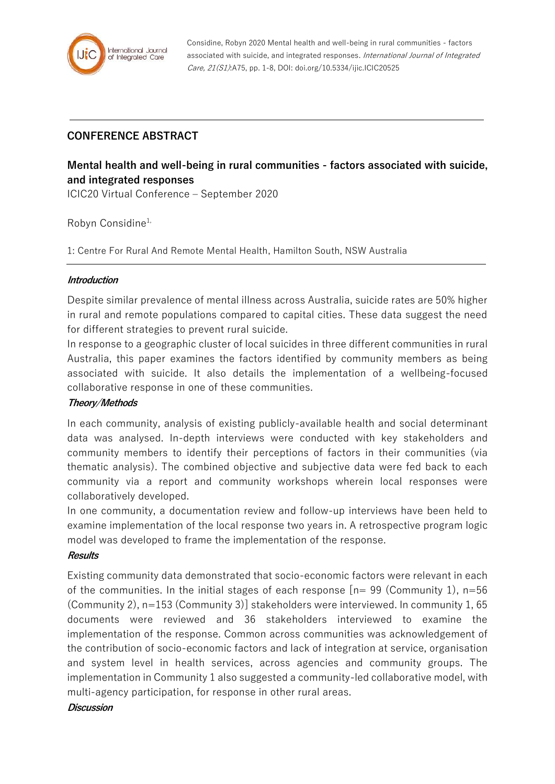

Considine, Robyn 2020 Mental health and well-being in rural communities - factors associated with suicide, and integrated responses. International Journal of Integrated Care, 21(S1):A75, pp. 1-8, DOI: doi.org/10.5334/ijic.ICIC20525

## **CONFERENCE ABSTRACT**

# **Mental health and well-being in rural communities - factors associated with suicide, and integrated responses**

ICIC20 Virtual Conference – September 2020

Robyn Considine<sup>1,</sup>

1: Centre For Rural And Remote Mental Health, Hamilton South, NSW Australia

#### **Introduction**

Despite similar prevalence of mental illness across Australia, suicide rates are 50% higher in rural and remote populations compared to capital cities. These data suggest the need for different strategies to prevent rural suicide.

In response to a geographic cluster of local suicides in three different communities in rural Australia, this paper examines the factors identified by community members as being associated with suicide. It also details the implementation of a wellbeing-focused collaborative response in one of these communities.

## **Theory/Methods**

In each community, analysis of existing publicly-available health and social determinant data was analysed. In-depth interviews were conducted with key stakeholders and community members to identify their perceptions of factors in their communities (via thematic analysis). The combined objective and subjective data were fed back to each community via a report and community workshops wherein local responses were collaboratively developed.

In one community, a documentation review and follow-up interviews have been held to examine implementation of the local response two years in. A retrospective program logic model was developed to frame the implementation of the response.

#### **Results**

Existing community data demonstrated that socio-economic factors were relevant in each of the communities. In the initial stages of each response  $[n= 99$  (Community 1), n=56 (Community 2), n=153 (Community 3)] stakeholders were interviewed. In community 1, 65 documents were reviewed and 36 stakeholders interviewed to examine the implementation of the response. Common across communities was acknowledgement of the contribution of socio-economic factors and lack of integration at service, organisation and system level in health services, across agencies and community groups. The implementation in Community 1 also suggested a community-led collaborative model, with multi-agency participation, for response in other rural areas.

#### **Discussion**